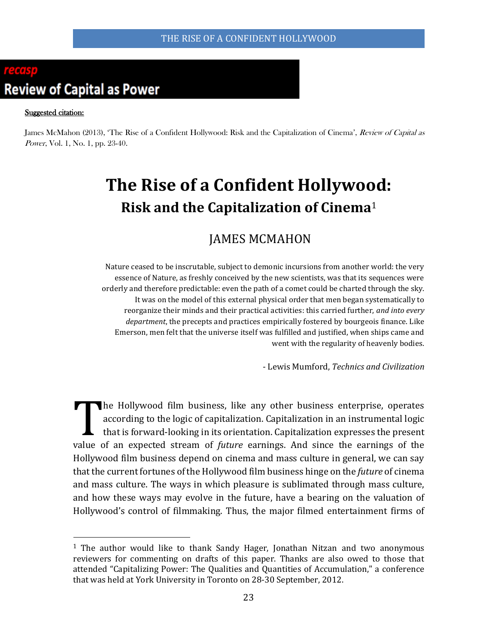# **Review of Capital as Power**

 $\overline{a}$ 

#### Suggested citation:

James McMahon (2013), 'The Rise of a Confident Hollywood: Risk and the Capitalization of Cinema', Review of Capital as Power, Vol. 1, No. 1, pp. 23-40.

# **The Rise of a Confident Hollywood: Risk and the Capitalization of Cinema**<sup>1</sup>

# JAMES MCMAHON

Nature ceased to be inscrutable, subject to demonic incursions from another world: the very essence of Nature, as freshly conceived by the new scientists, was that its sequences were orderly and therefore predictable: even the path of a comet could be charted through the sky. It was on the model of this external physical order that men began systematically to reorganize their minds and their practical activities: this carried further, *and into every department*, the precepts and practices empirically fostered by bourgeois finance. Like Emerson, men felt that the universe itself was fulfilled and justified, when ships came and went with the regularity of heavenly bodies.

- Lewis Mumford, *Technics and Civilization*

he Hollywood film business, like any other business enterprise, operates according to the logic of capitalization. Capitalization in an instrumental logic that is forward-looking in its orientation. Capitalization expresses the present value of an expected stream of *future* earnings. And since the earnings of the Hollywood film business depend on cinema and mass culture in general, we can say that the current fortunes of the Hollywood film business hinge on the *future* of cinema and mass culture. The ways in which pleasure is sublimated through mass culture, and how these ways may evolve in the future, have a bearing on the valuation of Hollywood's control of filmmaking. Thus, the major filmed entertainment firms of T

<sup>1</sup> The author would like to thank Sandy Hager, Jonathan Nitzan and two anonymous reviewers for commenting on drafts of this paper. Thanks are also owed to those that attended "Capitalizing Power: The Qualities and Quantities of Accumulation," a conference that was held at York University in Toronto on 28-30 September, 2012.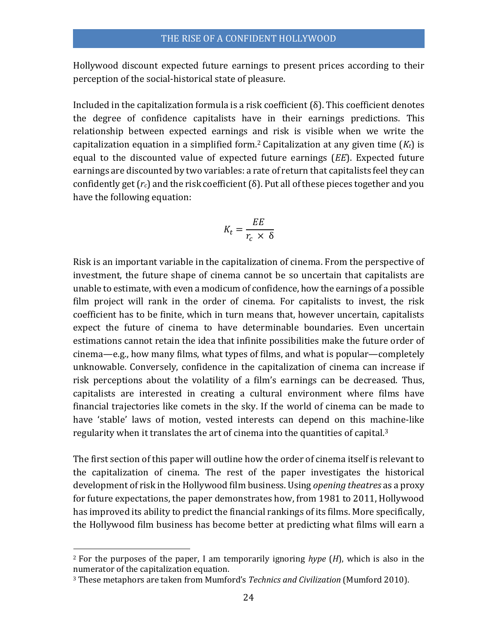Hollywood discount expected future earnings to present prices according to their perception of the social-historical state of pleasure.

Included in the capitalization formula is a risk coefficient  $(\delta)$ . This coefficient denotes the degree of confidence capitalists have in their earnings predictions. This relationship between expected earnings and risk is visible when we write the capitalization equation in a simplified form.<sup>2</sup> Capitalization at any given time  $(K_t)$  is equal to the discounted value of expected future earnings (*EE*). Expected future earnings are discounted by two variables: a rate of return that capitalists feel they can confidently get  $(r_c)$  and the risk coefficient  $(\delta)$ . Put all of these pieces together and you have the following equation:

$$
K_t = \frac{EE}{r_c \times \delta}
$$

Risk is an important variable in the capitalization of cinema. From the perspective of investment, the future shape of cinema cannot be so uncertain that capitalists are unable to estimate, with even a modicum of confidence, how the earnings of a possible film project will rank in the order of cinema. For capitalists to invest, the risk coefficient has to be finite, which in turn means that, however uncertain, capitalists expect the future of cinema to have determinable boundaries. Even uncertain estimations cannot retain the idea that infinite possibilities make the future order of cinema—e.g., how many films, what types of films, and what is popular—completely unknowable. Conversely, confidence in the capitalization of cinema can increase if risk perceptions about the volatility of a film's earnings can be decreased. Thus, capitalists are interested in creating a cultural environment where films have financial trajectories like comets in the sky. If the world of cinema can be made to have 'stable' laws of motion, vested interests can depend on this machine-like regularity when it translates the art of cinema into the quantities of capital.<sup>3</sup>

The first section of this paper will outline how the order of cinema itself is relevant to the capitalization of cinema. The rest of the paper investigates the historical development of risk in the Hollywood film business. Using *opening theatres* as a proxy for future expectations, the paper demonstrates how, from 1981 to 2011, Hollywood has improved its ability to predict the financial rankings of its films. More specifically, the Hollywood film business has become better at predicting what films will earn a

l

<sup>2</sup> For the purposes of the paper, I am temporarily ignoring *hype* (*H*), which is also in the numerator of the capitalization equation.

<sup>3</sup> These metaphors are taken from Mumford's *Technics and Civilization* (Mumford 2010).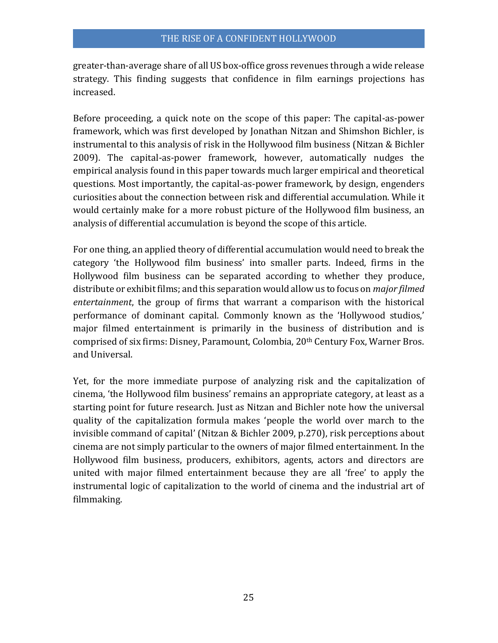greater-than-average share of all US box-office gross revenues through a wide release strategy. This finding suggests that confidence in film earnings projections has increased.

Before proceeding, a quick note on the scope of this paper: The capital-as-power framework, which was first developed by Jonathan Nitzan and Shimshon Bichler, is instrumental to this analysis of risk in the Hollywood film business (Nitzan & Bichler 2009). The capital-as-power framework, however, automatically nudges the empirical analysis found in this paper towards much larger empirical and theoretical questions. Most importantly, the capital-as-power framework, by design, engenders curiosities about the connection between risk and differential accumulation. While it would certainly make for a more robust picture of the Hollywood film business, an analysis of differential accumulation is beyond the scope of this article.

For one thing, an applied theory of differential accumulation would need to break the category 'the Hollywood film business' into smaller parts. Indeed, firms in the Hollywood film business can be separated according to whether they produce, distribute or exhibit films; and this separation would allow us to focus on *major filmed entertainment*, the group of firms that warrant a comparison with the historical performance of dominant capital. Commonly known as the 'Hollywood studios,' major filmed entertainment is primarily in the business of distribution and is comprised of six firms: Disney, Paramount, Colombia, 20<sup>th</sup> Century Fox, Warner Bros. and Universal.

Yet, for the more immediate purpose of analyzing risk and the capitalization of cinema, 'the Hollywood film business' remains an appropriate category, at least as a starting point for future research. Just as Nitzan and Bichler note how the universal quality of the capitalization formula makes 'people the world over march to the invisible command of capital' (Nitzan & Bichler 2009, p.270), risk perceptions about cinema are not simply particular to the owners of major filmed entertainment. In the Hollywood film business, producers, exhibitors, agents, actors and directors are united with major filmed entertainment because they are all 'free' to apply the instrumental logic of capitalization to the world of cinema and the industrial art of filmmaking.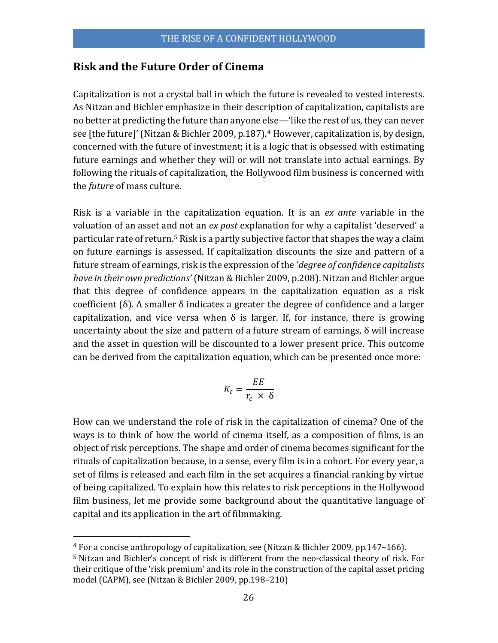### **Risk and the Future Order of Cinema**

Capitalization is not a crystal ball in which the future is revealed to vested interests. As Nitzan and Bichler emphasize in their description of capitalization, capitalists are no better at predicting the future than anyone else—'like the rest of us, they can never see [the future]'(Nitzan & Bichler 2009, p.187). <sup>4</sup> However, capitalization is, by design, concerned with the future of investment; it is a logic that is obsessed with estimating future earnings and whether they will or will not translate into actual earnings. By following the rituals of capitalization, the Hollywood film business is concerned with the *future* of mass culture.

Risk is a variable in the capitalization equation. It is an *ex ante* variable in the valuation of an asset and not an *ex post* explanation for why a capitalist 'deserved' a particular rate of return.<sup>5</sup> Risk is a partly subjective factor that shapes the way a claim on future earnings is assessed. If capitalization discounts the size and pattern of a future stream of earnings, risk is the expression of the '*degree of confidence capitalists have in their own predictions'*(Nitzan & Bichler 2009, p.208). Nitzan and Bichler argue that this degree of confidence appears in the capitalization equation as a risk coefficient (δ). A smaller δ indicates a greater the degree of confidence and a larger capitalization, and vice versa when  $\delta$  is larger. If, for instance, there is growing uncertainty about the size and pattern of a future stream of earnings, δ will increase and the asset in question will be discounted to a lower present price. This outcome can be derived from the capitalization equation, which can be presented once more:

$$
K_t = \frac{EE}{r_c \times \delta}
$$

How can we understand the role of risk in the capitalization of cinema? One of the ways is to think of how the world of cinema itself, as a composition of films, is an object of risk perceptions. The shape and order of cinema becomes significant for the rituals of capitalization because, in a sense, every film is in a cohort. For every year, a set of films is released and each film in the set acquires a financial ranking by virtue of being capitalized. To explain how this relates to risk perceptions in the Hollywood film business, let me provide some background about the quantitative language of capital and its application in the art of filmmaking.

<sup>4</sup> For a concise anthropology of capitalization, see (Nitzan & Bichler 2009, pp.147–166).

<sup>5</sup> Nitzan and Bichler's concept of risk is different from the neo-classical theory of risk. For their critique of the 'risk premium' and its role in the construction of the capital asset pricing model (CAPM), see (Nitzan & Bichler 2009, pp.198–210)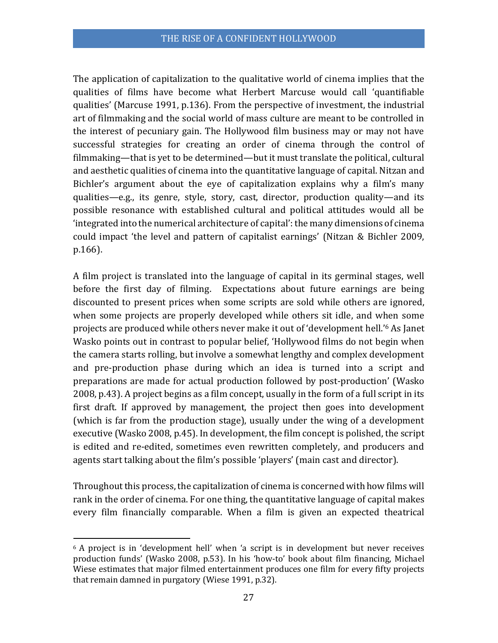The application of capitalization to the qualitative world of cinema implies that the qualities of films have become what Herbert Marcuse would call 'quantifiable qualities' (Marcuse 1991, p.136). From the perspective of investment, the industrial art of filmmaking and the social world of mass culture are meant to be controlled in the interest of pecuniary gain. The Hollywood film business may or may not have successful strategies for creating an order of cinema through the control of filmmaking—that is yet to be determined—but it must translate the political, cultural and aesthetic qualities of cinema into the quantitative language of capital. Nitzan and Bichler's argument about the eye of capitalization explains why a film's many qualities—e.g., its genre, style, story, cast, director, production quality—and its possible resonance with established cultural and political attitudes would all be 'integrated into the numerical architecture of capital': the many dimensions of cinema could impact 'the level and pattern of capitalist earnings' (Nitzan & Bichler 2009, p.166).

A film project is translated into the language of capital in its germinal stages, well before the first day of filming. Expectations about future earnings are being discounted to present prices when some scripts are sold while others are ignored, when some projects are properly developed while others sit idle, and when some projects are produced while others never make it out of 'development hell.' <sup>6</sup> As Janet Wasko points out in contrast to popular belief, 'Hollywood films do not begin when the camera starts rolling, but involve a somewhat lengthy and complex development and pre-production phase during which an idea is turned into a script and preparations are made for actual production followed by post-production' (Wasko 2008, p.43). A project begins as a film concept, usually in the form of a full script in its first draft. If approved by management, the project then goes into development (which is far from the production stage), usually under the wing of a development executive (Wasko 2008, p.45). In development, the film concept is polished, the script is edited and re-edited, sometimes even rewritten completely, and producers and agents start talking about the film's possible 'players' (main cast and director).

Throughout this process, the capitalization of cinema is concerned with how films will rank in the order of cinema. For one thing, the quantitative language of capital makes every film financially comparable. When a film is given an expected theatrical

 $6$  A project is in 'development hell' when 'a script is in development but never receives production funds' (Wasko 2008, p.53). In his 'how-to' book about film financing, Michael Wiese estimates that major filmed entertainment produces one film for every fifty projects that remain damned in purgatory (Wiese 1991, p.32).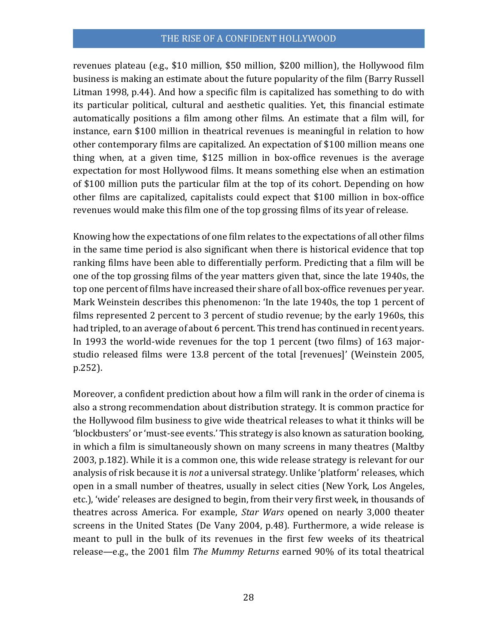revenues plateau (e.g., \$10 million, \$50 million, \$200 million), the Hollywood film business is making an estimate about the future popularity of the film (Barry Russell Litman 1998, p.44). And how a specific film is capitalized has something to do with its particular political, cultural and aesthetic qualities. Yet, this financial estimate automatically positions a film among other films. An estimate that a film will, for instance, earn \$100 million in theatrical revenues is meaningful in relation to how other contemporary films are capitalized. An expectation of \$100 million means one thing when, at a given time, \$125 million in box-office revenues is the average expectation for most Hollywood films. It means something else when an estimation of \$100 million puts the particular film at the top of its cohort. Depending on how other films are capitalized, capitalists could expect that \$100 million in box-office revenues would make this film one of the top grossing films of its year of release.

Knowing how the expectations of one film relates to the expectations of all other films in the same time period is also significant when there is historical evidence that top ranking films have been able to differentially perform. Predicting that a film will be one of the top grossing films of the year matters given that, since the late 1940s, the top one percent of films have increased their share of all box-office revenues per year. Mark Weinstein describes this phenomenon: 'In the late 1940s, the top 1 percent of films represented 2 percent to 3 percent of studio revenue; by the early 1960s, this had tripled, to an average of about 6 percent. This trend has continued in recent years. In 1993 the world-wide revenues for the top 1 percent (two films) of 163 majorstudio released films were 13.8 percent of the total [revenues]' (Weinstein 2005, p.252).

Moreover, a confident prediction about how a film will rank in the order of cinema is also a strong recommendation about distribution strategy. It is common practice for the Hollywood film business to give wide theatrical releases to what it thinks will be 'blockbusters' or 'must-see events.' This strategy is also known as saturation booking, in which a film is simultaneously shown on many screens in many theatres (Maltby 2003, p.182). While it is a common one, this wide release strategy is relevant for our analysis of risk because it is *not* a universal strategy. Unlike 'platform' releases, which open in a small number of theatres, usually in select cities (New York, Los Angeles, etc.), 'wide' releases are designed to begin, from their very first week, in thousands of theatres across America. For example, *Star Wars* opened on nearly 3,000 theater screens in the United States (De Vany 2004, p.48). Furthermore, a wide release is meant to pull in the bulk of its revenues in the first few weeks of its theatrical release—e.g., the 2001 film *The Mummy Returns* earned 90% of its total theatrical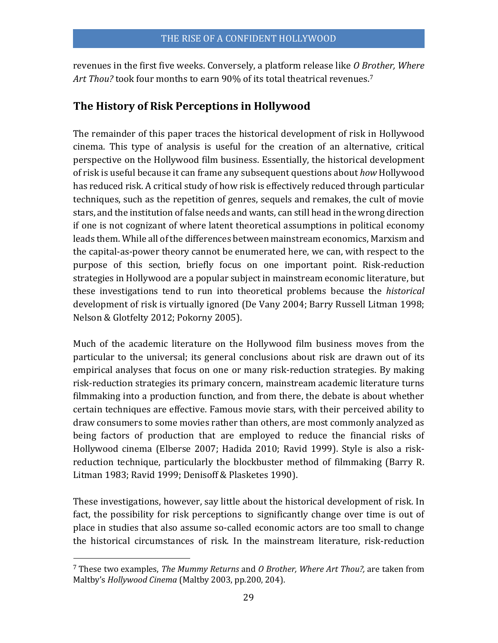revenues in the first five weeks. Conversely, a platform release like *O Brother, Where Art Thou?* took four months to earn 90% of its total theatrical revenues.<sup>7</sup>

## **The History of Risk Perceptions in Hollywood**

The remainder of this paper traces the historical development of risk in Hollywood cinema. This type of analysis is useful for the creation of an alternative, critical perspective on the Hollywood film business. Essentially, the historical development of risk is useful because it can frame any subsequent questions about *how* Hollywood has reduced risk. A critical study of how risk is effectively reduced through particular techniques, such as the repetition of genres, sequels and remakes, the cult of movie stars, and the institution of false needs and wants, can still head in the wrong direction if one is not cognizant of where latent theoretical assumptions in political economy leads them. While all of the differences between mainstream economics, Marxism and the capital-as-power theory cannot be enumerated here, we can, with respect to the purpose of this section, briefly focus on one important point. Risk-reduction strategies in Hollywood are a popular subject in mainstream economic literature, but these investigations tend to run into theoretical problems because the *historical*  development of risk is virtually ignored (De Vany 2004; Barry Russell Litman 1998; Nelson & Glotfelty 2012; Pokorny 2005).

Much of the academic literature on the Hollywood film business moves from the particular to the universal; its general conclusions about risk are drawn out of its empirical analyses that focus on one or many risk-reduction strategies. By making risk-reduction strategies its primary concern, mainstream academic literature turns filmmaking into a production function, and from there, the debate is about whether certain techniques are effective. Famous movie stars, with their perceived ability to draw consumers to some movies rather than others, are most commonly analyzed as being factors of production that are employed to reduce the financial risks of Hollywood cinema (Elberse 2007; Hadida 2010; Ravid 1999). Style is also a riskreduction technique, particularly the blockbuster method of filmmaking (Barry R. Litman 1983; Ravid 1999; Denisoff & Plasketes 1990).

These investigations, however, say little about the historical development of risk. In fact, the possibility for risk perceptions to significantly change over time is out of place in studies that also assume so-called economic actors are too small to change the historical circumstances of risk. In the mainstream literature, risk-reduction

<sup>7</sup> These two examples, *The Mummy Returns* and *O Brother, Where Art Thou?,* are taken from Maltby's *Hollywood Cinema* (Maltby 2003, pp.200, 204).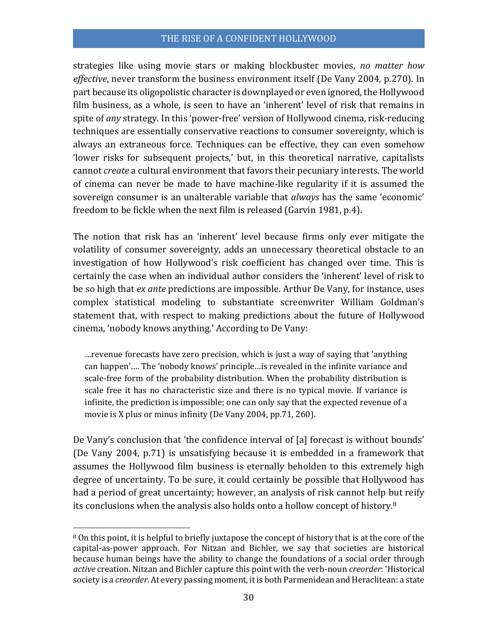strategies like using movie stars or making blockbuster movies, *no matter how effective*, never transform the business environment itself (De Vany 2004, p.270). In part because its oligopolistic character is downplayed or even ignored, the Hollywood film business, as a whole, is seen to have an 'inherent' level of risk that remains in spite of *any* strategy. In this 'power-free' version of Hollywood cinema, risk-reducing techniques are essentially conservative reactions to consumer sovereignty, which is always an extraneous force. Techniques can be effective, they can even somehow 'lower risks for subsequent projects,' but, in this theoretical narrative, capitalists cannot *create* a cultural environment that favors their pecuniary interests. The world of cinema can never be made to have machine-like regularity if it is assumed the sovereign consumer is an unalterable variable that *always* has the same 'economic' freedom to be fickle when the next film is released (Garvin 1981, p.4).

The notion that risk has an 'inherent' level because firms only ever mitigate the volatility of consumer sovereignty, adds an unnecessary theoretical obstacle to an investigation of how Hollywood's risk coefficient has changed over time. This is certainly the case when an individual author considers the 'inherent' level of risk to be so high that *ex ante* predictions are impossible. Arthur De Vany, for instance, uses complex statistical modeling to substantiate screenwriter William Goldman's statement that, with respect to making predictions about the future of Hollywood cinema, 'nobody knows anything.' According to De Vany:

…revenue forecasts have zero precision, which is just a way of saying that 'anything can happen'…. The 'nobody knows' principle…is revealed in the infinite variance and scale-free form of the probability distribution. When the probability distribution is scale free it has no characteristic size and there is no typical movie. If variance is infinite, the prediction is impossible; one can only say that the expected revenue of a movie is X plus or minus infinity (De Vany 2004, pp.71, 260).

De Vany's conclusion that 'the confidence interval of [a] forecast is without bounds' (De Vany 2004, p.71) is unsatisfying because it is embedded in a framework that assumes the Hollywood film business is eternally beholden to this extremely high degree of uncertainty. To be sure, it could certainly be possible that Hollywood has had a period of great uncertainty; however, an analysis of risk cannot help but reify its conclusions when the analysis also holds onto a hollow concept of history. 8

<sup>8</sup> On this point, it is helpful to briefly juxtapose the concept of history that is at the core of the capital-as-power approach. For Nitzan and Bichler, we say that societies are historical because human beings have the ability to change the foundations of a social order through *active* creation. Nitzan and Bichler capture this point with the verb-noun *creorder*: 'Historical society is a *creorder*. At every passing moment, it is both Parmenidean and Heraclitean: a state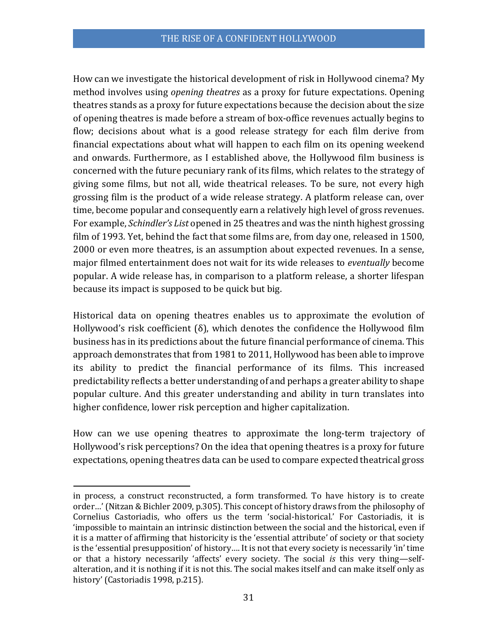How can we investigate the historical development of risk in Hollywood cinema? My method involves using *opening theatres* as a proxy for future expectations. Opening theatres stands as a proxy for future expectations because the decision about the size of opening theatres is made before a stream of box-office revenues actually begins to flow; decisions about what is a good release strategy for each film derive from financial expectations about what will happen to each film on its opening weekend and onwards. Furthermore, as I established above, the Hollywood film business is concerned with the future pecuniary rank of its films, which relates to the strategy of giving some films, but not all, wide theatrical releases. To be sure, not every high grossing film is the product of a wide release strategy. A platform release can, over time, become popular and consequently earn a relatively high level of gross revenues. For example, *Schindler's List* opened in 25 theatres and was the ninth highest grossing film of 1993. Yet, behind the fact that some films are, from day one, released in 1500, 2000 or even more theatres, is an assumption about expected revenues. In a sense, major filmed entertainment does not wait for its wide releases to *eventually* become popular. A wide release has, in comparison to a platform release, a shorter lifespan because its impact is supposed to be quick but big.

Historical data on opening theatres enables us to approximate the evolution of Hollywood's risk coefficient (δ), which denotes the confidence the Hollywood film business has in its predictions about the future financial performance of cinema. This approach demonstrates that from 1981 to 2011, Hollywood has been able to improve its ability to predict the financial performance of its films. This increased predictability reflects a better understanding of and perhaps a greater ability to shape popular culture. And this greater understanding and ability in turn translates into higher confidence, lower risk perception and higher capitalization.

How can we use opening theatres to approximate the long-term trajectory of Hollywood's risk perceptions? On the idea that opening theatres is a proxy for future expectations, opening theatres data can be used to compare expected theatrical gross

l

in process, a construct reconstructed, a form transformed. To have history is to create order…' (Nitzan & Bichler 2009, p.305). This concept of history draws from the philosophy of Cornelius Castoriadis, who offers us the term 'social-historical.' For Castoriadis, it is 'impossible to maintain an intrinsic distinction between the social and the historical, even if it is a matter of affirming that historicity is the 'essential attribute' of society or that society is the 'essential presupposition' of history…. It is not that every society is necessarily 'in' time or that a history necessarily 'affects' every society. The social *is* this very thing—selfalteration, and it is nothing if it is not this. The social makes itself and can make itself only as history' (Castoriadis 1998, p.215).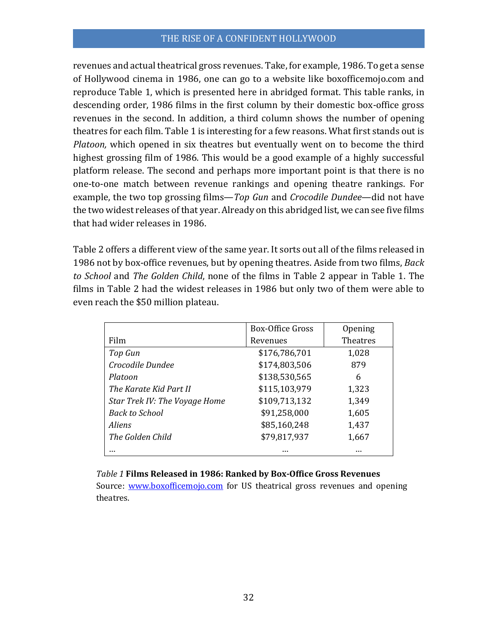revenues and actual theatrical gross revenues. Take, for example, 1986. To get a sense of Hollywood cinema in 1986, one can go to a website like boxofficemojo.com and reproduce Table 1, which is presented here in abridged format. This table ranks, in descending order, 1986 films in the first column by their domestic box-office gross revenues in the second. In addition, a third column shows the number of opening theatres for each film. Table 1 is interesting for a few reasons. What first stands out is *Platoon,* which opened in six theatres but eventually went on to become the third highest grossing film of 1986. This would be a good example of a highly successful platform release. The second and perhaps more important point is that there is no one-to-one match between revenue rankings and opening theatre rankings. For example, the two top grossing films—*Top Gun* and *Crocodile Dundee*—did not have the two widest releases of that year. Already on this abridged list, we can see five films that had wider releases in 1986.

Table 2 offers a different view of the same year. It sorts out all of the films released in 1986 not by box-office revenues, but by opening theatres. Aside from two films, *Back to School* and *The Golden Child*, none of the films in Table 2 appear in Table 1. The films in Table 2 had the widest releases in 1986 but only two of them were able to even reach the \$50 million plateau.

|                               | <b>Box-Office Gross</b> | Opening  |
|-------------------------------|-------------------------|----------|
| Film                          | Revenues                | Theatres |
| Top Gun                       | \$176,786,701           | 1,028    |
| Crocodile Dundee              | \$174,803,506           | 879      |
| Platoon                       | \$138,530,565           | 6        |
| The Karate Kid Part II        | \$115,103,979           | 1,323    |
| Star Trek IV: The Voyage Home | \$109,713,132           | 1,349    |
| <b>Back to School</b>         | \$91,258,000            | 1,605    |
| <i>Aliens</i>                 | \$85,160,248            | 1,437    |
| The Golden Child              | \$79,817,937            | 1,667    |
|                               |                         |          |

*Table 1* **Films Released in 1986: Ranked by Box-Office Gross Revenues** Source: [www.boxofficemojo.com](http://www.boxofficemojo.com/) for US theatrical gross revenues and opening theatres.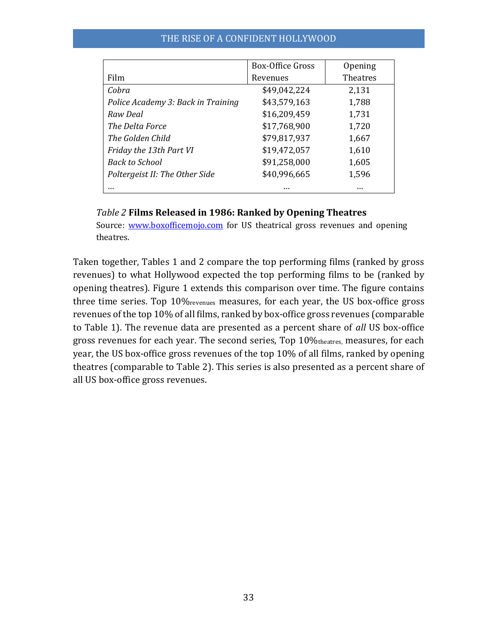|                                    | <b>Box-Office Gross</b> | Opening  |
|------------------------------------|-------------------------|----------|
| Film                               | Revenues                | Theatres |
| Cobra                              | \$49,042,224            | 2,131    |
| Police Academy 3: Back in Training | \$43,579,163            | 1,788    |
| Raw Deal                           | \$16,209,459            | 1,731    |
| The Delta Force                    | \$17,768,900            | 1,720    |
| The Golden Child                   | \$79,817,937            | 1,667    |
| Friday the 13th Part VI            | \$19,472,057            | 1,610    |
| <b>Back to School</b>              | \$91,258,000            | 1,605    |
| Poltergeist II: The Other Side     | \$40,996,665            | 1,596    |
|                                    |                         | $\cdots$ |

#### *Table 2* **Films Released in 1986: Ranked by Opening Theatres**

Source: [www.boxofficemojo.com](http://www.boxofficemojo.com/) for US theatrical gross revenues and opening theatres.

Taken together, Tables 1 and 2 compare the top performing films (ranked by gross revenues) to what Hollywood expected the top performing films to be (ranked by opening theatres). Figure 1 extends this comparison over time. The figure contains three time series. Top 10%revenues measures, for each year, the US box-office gross revenues of the top 10% of all films, ranked by box-office gross revenues (comparable to Table 1). The revenue data are presented as a percent share of *all* US box-office gross revenues for each year. The second series, Top 10%theatres, measures, for each year, the US box-office gross revenues of the top 10% of all films, ranked by opening theatres (comparable to Table 2). This series is also presented as a percent share of all US box-office gross revenues.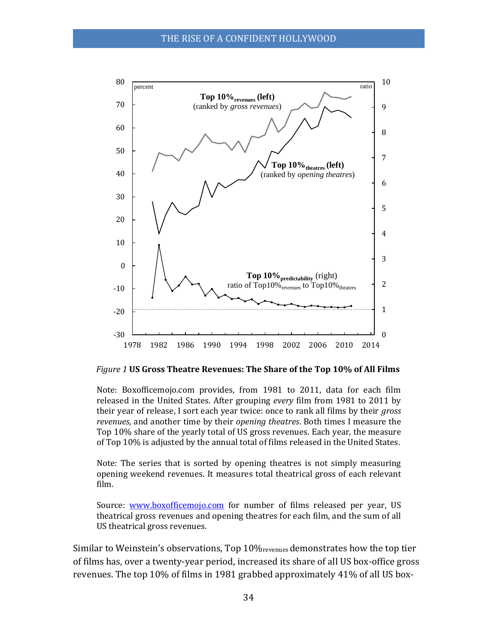

*Figure 1* **US Gross Theatre Revenues: The Share of the Top 10% of All Films**

Note: Boxofficemojo.com provides, from 1981 to 2011, data for each film released in the United States. After grouping *every* film from 1981 to 2011 by their year of release, I sort each year twice: once to rank all films by their *gross revenues*, and another time by their *opening theatres*. Both times I measure the Top 10% share of the yearly total of US gross revenues. Each year, the measure of Top 10% is adjusted by the annual total of films released in the United States.

Note: The series that is sorted by opening theatres is not simply measuring opening weekend revenues. It measures total theatrical gross of each relevant film.

Source: [www.boxofficemojo.com](http://www.boxofficemojo.com/) for number of films released per year, US theatrical gross revenues and opening theatres for each film, and the sum of all US theatrical gross revenues.

Similar to Weinstein's observations, Top 10%revenues demonstrates how the top tier of films has, over a twenty-year period, increased its share of all US box-office gross revenues. The top 10% of films in 1981 grabbed approximately 41% of all US box-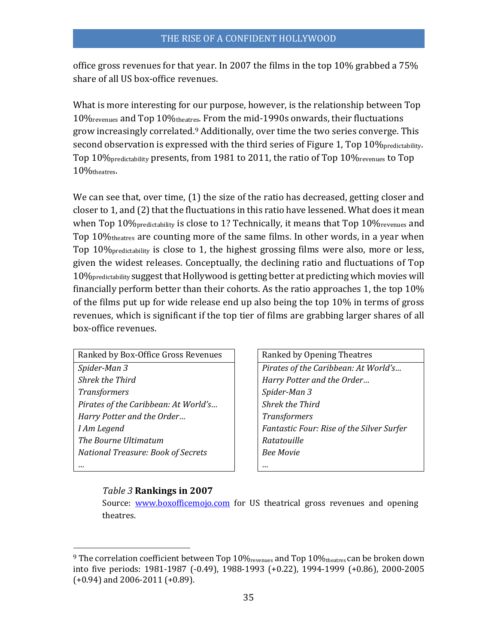office gross revenues for that year. In 2007 the films in the top 10% grabbed a 75% share of all US box-office revenues.

What is more interesting for our purpose, however, is the relationship between Top 10%revenues and Top 10%theatres. From the mid-1990s onwards, their fluctuations grow increasingly correlated.<sup>9</sup> Additionally, over time the two series converge. This second observation is expressed with the third series of Figure 1, Top 10% predictability. Top 10%predictability presents, from 1981 to 2011, the ratio of Top 10%revenues to Top 10%theatres.

We can see that, over time, (1) the size of the ratio has decreased, getting closer and closer to 1, and (2) that the fluctuations in this ratio have lessened. What does it mean when Top 10% predictability is close to 1? Technically, it means that Top 10% revenues and Top 10%theatres are counting more of the same films. In other words, in a year when Top 10%predictability is close to 1, the highest grossing films were also, more or less, given the widest releases. Conceptually, the declining ratio and fluctuations of Top 10%predictability suggest that Hollywood is getting better at predicting which movies will financially perform better than their cohorts. As the ratio approaches 1, the top 10% of the films put up for wide release end up also being the top 10% in terms of gross revenues, which is significant if the top tier of films are grabbing larger shares of all box-office revenues.

| Ranked by Box-Office Gross Revenues       |  | R:          |
|-------------------------------------------|--|-------------|
| Spider-Man 3                              |  | $\bm{P}_1$  |
| <b>Shrek the Third</b>                    |  |             |
| <b>Transformers</b>                       |  | Sį          |
| Pirates of the Caribbean: At World's      |  | Sl          |
| Harry Potter and the Order                |  | $T_{\rm I}$ |
| I Am Legend                               |  | Fı          |
| The Bourne Ultimatum                      |  |             |
| <b>National Treasure: Book of Secrets</b> |  |             |
|                                           |  |             |

Ranked by Opening Theatres *Pirates of the Caribbean: At World's... Shrek the Third Harry Potter and the Order… Transformers Spider-Man 3 Pirates of the Caribbean: At World's… Shrek the Third Harry Potter and the Order… Transformers Fantastic Four: Rise of the Silver Surfer The Bourne Ultimatum Ratatouille National Treasure: Book of Secrets Bee Movie*

#### *Table 3* **Rankings in 2007**

 $\overline{a}$ 

Source: [www.boxofficemojo.com](http://www.boxofficemojo.com/) for US theatrical gross revenues and opening theatres.

<sup>&</sup>lt;sup>9</sup> The correlation coefficient between Top 10%  $_{\text{prevalues}}$  and Top 10%  $_{\text{theatres}}$  can be broken down into five periods: 1981-1987 (-0.49), 1988-1993 (+0.22), 1994-1999 (+0.86), 2000-2005 (+0.94) and 2006-2011 (+0.89).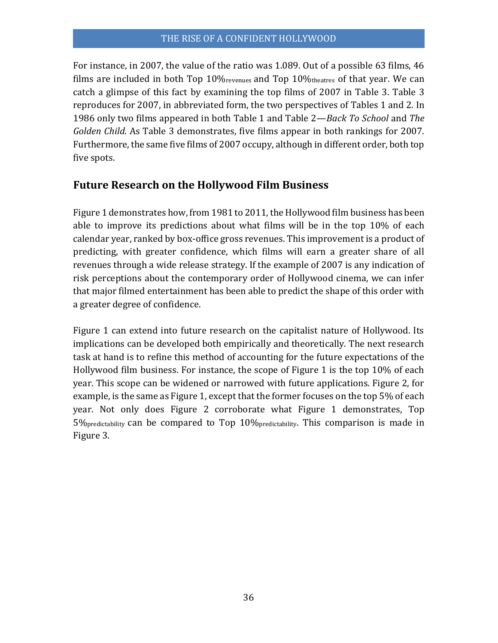For instance, in 2007, the value of the ratio was 1.089. Out of a possible 63 films, 46 films are included in both Top 10% revenues and Top 10% the atres of that year. We can catch a glimpse of this fact by examining the top films of 2007 in Table 3. Table 3 reproduces for 2007, in abbreviated form, the two perspectives of Tables 1 and 2. In 1986 only two films appeared in both Table 1 and Table 2—*Back To School* and *The Golden Child*. As Table 3 demonstrates, five films appear in both rankings for 2007. Furthermore, the same five films of 2007 occupy, although in different order, both top five spots.

# **Future Research on the Hollywood Film Business**

Figure 1 demonstrates how, from 1981 to 2011, the Hollywood film business has been able to improve its predictions about what films will be in the top 10% of each calendar year, ranked by box-office gross revenues. This improvement is a product of predicting, with greater confidence, which films will earn a greater share of all revenues through a wide release strategy. If the example of 2007 is any indication of risk perceptions about the contemporary order of Hollywood cinema, we can infer that major filmed entertainment has been able to predict the shape of this order with a greater degree of confidence.

Figure 1 can extend into future research on the capitalist nature of Hollywood. Its implications can be developed both empirically and theoretically. The next research task at hand is to refine this method of accounting for the future expectations of the Hollywood film business. For instance, the scope of Figure 1 is the top 10% of each year. This scope can be widened or narrowed with future applications. Figure 2, for example, is the same as Figure 1, except that the former focuses on the top 5% of each year. Not only does Figure 2 corroborate what Figure 1 demonstrates, Top 5%predictability can be compared to Top 10%predictability. This comparison is made in Figure 3.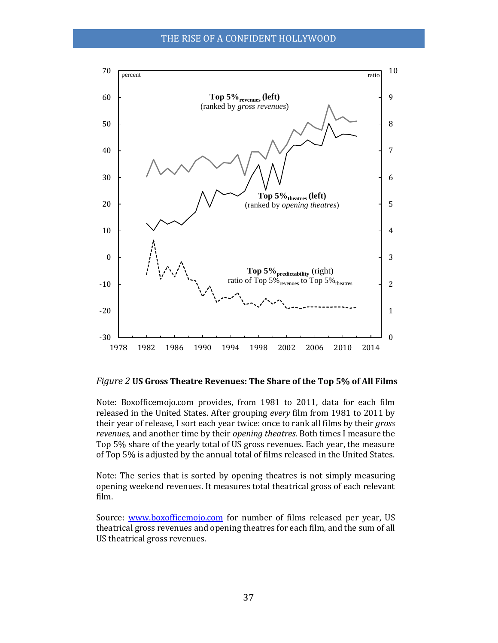

#### *Figure 2* **US Gross Theatre Revenues: The Share of the Top 5% of All Films**

Note: Boxofficemojo.com provides, from 1981 to 2011, data for each film released in the United States. After grouping *every* film from 1981 to 2011 by their year of release, I sort each year twice: once to rank all films by their *gross revenues*, and another time by their *opening theatres*. Both times I measure the Top 5% share of the yearly total of US gross revenues. Each year, the measure of Top 5% is adjusted by the annual total of films released in the United States.

Note: The series that is sorted by opening theatres is not simply measuring opening weekend revenues. It measures total theatrical gross of each relevant film.

Source: [www.boxofficemojo.com](http://www.boxofficemojo.com/) for number of films released per year, US theatrical gross revenues and opening theatres for each film, and the sum of all US theatrical gross revenues.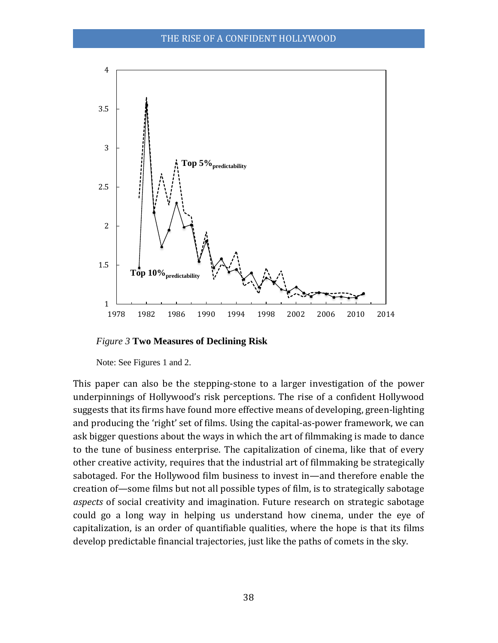

*Figure 3* **Two Measures of Declining Risk**

Note: See Figures 1 and 2.

This paper can also be the stepping-stone to a larger investigation of the power underpinnings of Hollywood's risk perceptions. The rise of a confident Hollywood suggests that its firms have found more effective means of developing, green-lighting and producing the 'right' set of films. Using the capital-as-power framework, we can ask bigger questions about the ways in which the art of filmmaking is made to dance to the tune of business enterprise. The capitalization of cinema, like that of every other creative activity, requires that the industrial art of filmmaking be strategically sabotaged. For the Hollywood film business to invest in—and therefore enable the creation of—some films but not all possible types of film, is to strategically sabotage *aspects* of social creativity and imagination. Future research on strategic sabotage could go a long way in helping us understand how cinema, under the eye of capitalization, is an order of quantifiable qualities, where the hope is that its films develop predictable financial trajectories, just like the paths of comets in the sky.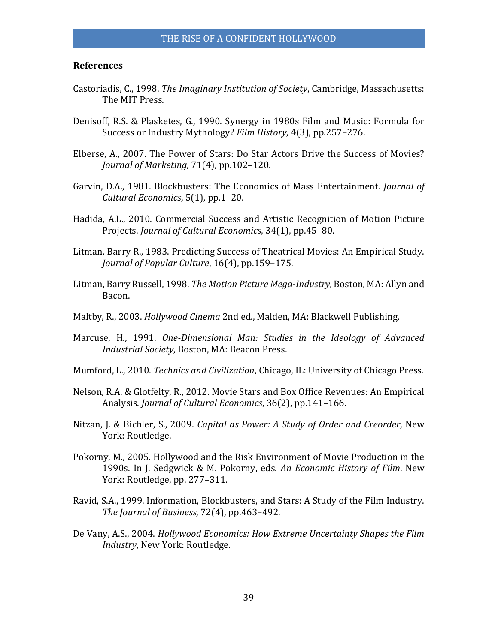#### **References**

- Castoriadis, C., 1998. *The Imaginary Institution of Society*, Cambridge, Massachusetts: The MIT Press.
- Denisoff, R.S. & Plasketes, G., 1990. Synergy in 1980s Film and Music: Formula for Success or Industry Mythology? *Film History*, 4(3), pp.257–276.
- Elberse, A., 2007. The Power of Stars: Do Star Actors Drive the Success of Movies? *Journal of Marketing*, 71(4), pp.102–120.
- Garvin, D.A., 1981. Blockbusters: The Economics of Mass Entertainment. *Journal of Cultural Economics*, 5(1), pp.1–20.
- Hadida, A.L., 2010. Commercial Success and Artistic Recognition of Motion Picture Projects. *Journal of Cultural Economics*, 34(1), pp.45–80.
- Litman, Barry R., 1983. Predicting Success of Theatrical Movies: An Empirical Study. *Journal of Popular Culture*, 16(4), pp.159–175.
- Litman, Barry Russell, 1998. *The Motion Picture Mega-Industry*, Boston, MA: Allyn and Bacon.
- Maltby, R., 2003. *Hollywood Cinema* 2nd ed., Malden, MA: Blackwell Publishing.
- Marcuse, H., 1991. *One-Dimensional Man: Studies in the Ideology of Advanced Industrial Society*, Boston, MA: Beacon Press.
- Mumford, L., 2010. *Technics and Civilization*, Chicago, IL: University of Chicago Press.
- Nelson, R.A. & Glotfelty, R., 2012. Movie Stars and Box Office Revenues: An Empirical Analysis. *Journal of Cultural Economics*, 36(2), pp.141–166.
- Nitzan, J. & Bichler, S., 2009. *Capital as Power: A Study of Order and Creorder*, New York: Routledge.
- Pokorny, M., 2005. Hollywood and the Risk Environment of Movie Production in the 1990s. In J. Sedgwick & M. Pokorny, eds. *An Economic History of Film*. New York: Routledge, pp. 277–311.
- Ravid, S.A., 1999. Information, Blockbusters, and Stars: A Study of the Film Industry. *The Journal of Business*, 72(4), pp.463–492.
- De Vany, A.S., 2004. *Hollywood Economics: How Extreme Uncertainty Shapes the Film Industry*, New York: Routledge.